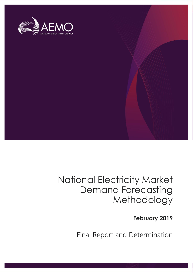

### National Electricity Market Demand Forecasting Methodology

**February 2019**

Final Report and Determination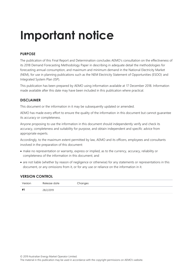# **Important notice**

#### **PURPOSE**

The publication of this Final Report and Determination concludes AEMO's consultation on the effectiveness of its 2018 Demand Forecasting Methodology Paper in describing in adequate detail the methodologies for forecasting annual consumption, and maximum and minimum demand in the National Electricity Market (NEM), for use in planning publications such as the NEM Electricity Statement of Opportunities (ESOO) and Integrated System Plan (ISP).

This publication has been prepared by AEMO using information available at 17 December 2018. Information made available after this date may have been included in this publication where practical.

#### **DISCLAIMER**

This document or the information in it may be subsequently updated or amended.

AEMO has made every effort to ensure the quality of the information in this document but cannot guarantee its accuracy or completeness.

Anyone proposing to use the information in this document should independently verify and check its accuracy, completeness and suitability for purpose, and obtain independent and specific advice from appropriate experts.

Accordingly, to the maximum extent permitted by law, AEMO and its officers, employees and consultants involved in the preparation of this document:

- make no representation or warranty, express or implied, as to the currency, accuracy, reliability or completeness of the information in this document; and
- are not liable (whether by reason of negligence or otherwise) for any statements or representations in this document, or any omissions from it, or for any use or reliance on the information in it.

#### **VERSION CONTROL**

| Version | Release date | Changes |
|---------|--------------|---------|
| #1      | 28/2/2019    |         |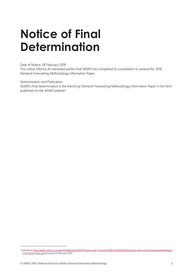### <span id="page-2-0"></span>**Notice of Final Determination**

Date of Notice: 28 February 2019

This notice informs all interested parties that AEMO has completed its consultation to amend the 2018 Demand Forecasting Methodology Information Paper.

Determination and Publication

AEMO's final determination is the Electricity Demand Forecasting Methodology Information Paper in the form published on the AEMO website<sup>1</sup>.

 $\overline{a}$ 

<sup>1</sup> Available at: http://aemo.com.au/-/media/Files/Electricity/NEM/Planning\_and\_Forecasting/NEM\_ESOO/2018/Electricity-Demand-Forecasting-Methodology-Information-Paper.pdf (Accessed 28 February 2019)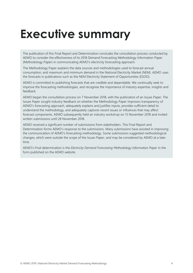## <span id="page-3-0"></span>**Executive summary**

The publication of this Final Report and Determination concludes the consultation process conducted by AEMO to consider the effectiveness of its 2018 Demand Forecasting Methodology Information Paper (Methodology Paper) in communicating AEMO's electricity forecasting approach.

The Methodology Paper explains the data sources and methodologies used to forecast annual consumption, and maximum and minimum demand in the National Electricity Market (NEM). AEMO uses the forecasts in publications such as the NEM Electricity Statement of Opportunities (ESOO).

AEMO is committed to publishing forecasts that are credible and dependable. We continually seek to improve the forecasting methodologies, and recognise the importance of industry expertise, insights and feedback.

AEMO began the consultation process on 7 November 2018, with the publication of an Issues Paper. The Issues Paper sought industry feedback on whether the Methodology Paper improves transparency of AEMO's forecasting approach, adequately explains and justifies inputs, provides sufficient detail to understand the methodology, and adequately captures recent issues or influences that may affect forecast components. AEMO subsequently held an industry workshop on 13 November 2018 and invited written submissions until 28 November 2018.

AEMO received a significant number of submissions from stakeholders. This Final Report and Determination forms AEMO's response to the submissions. Many submissions have assisted in improving the communication of AEMO's forecasting methodology. Some submissions suggested methodological changes, which were outside the scope of the Issues Paper, and may be considered by AEMO at a later time.

AEMO's Final determination is the *Electricity Demand Forecasting Methodology Information Paper* in the form published on the AEMO website.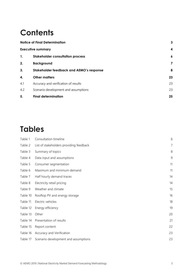### **Contents**

|     | <b>Notice of Final Determination</b>            |                  |
|-----|-------------------------------------------------|------------------|
|     | <b>Executive summary</b>                        | 4                |
| 1.  | <b>Stakeholder consultation process</b>         | $\boldsymbol{6}$ |
| 2.  | <b>Background</b>                               | 7                |
| 3.  | <b>Stakeholder feedback and AEMO's response</b> | 8                |
| 4.  | <b>Other matters</b>                            | 23               |
| 4.1 | Accuracy and verification of results            | 23               |
| 4.2 | Scenario development and assumptions            | 23               |
| 5.  | <b>Final determination</b>                      | 25               |

### **Tables**

| Table 1  | Consultation timeline                   | 6              |
|----------|-----------------------------------------|----------------|
| Table 2  | List of stakeholders providing feedback | $\overline{7}$ |
| Table 3  | Summary of topics                       | 8              |
| Table 4  | Data input and assumptions              | 9              |
| Table 5  | Consumer segmentation                   | 11             |
| Table 6  | Maximum and minimum demand              | 11             |
| Table 7  | Half hourly demand traces               | 14             |
| Table 8  | Electricity retail pricing              | 14             |
| Table 9  | Weather and climate                     | 15             |
| Table 10 | Rooftop PV and energy storage           | 16             |
| Table 11 | Electric vehicles                       | 18             |
| Table 12 | Energy efficiency                       | 19             |
| Table 13 | Other                                   | 20             |
| Table 14 | Presentation of results                 | 21             |
| Table 15 | Report content                          | 22             |
| Table 16 | Accuracy and Verification               | 23             |
| Table 17 | Scenario development and assumptions    | 23             |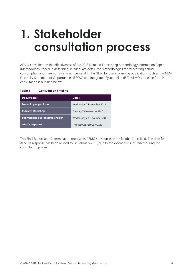## <span id="page-5-0"></span>**1. Stakeholder consultation process**

AEMO consulted on the effectiveness of the 2018 Demand Forecasting Methodology Information Paper (Methodology Paper) in describing, in adequate detail, the methodologies for forecasting annual consumption and maximum/minimum demand in the NEM, for use in planning publications such as the NEM Electricity Statement of Opportunities (ESOO) and Integrated System Plan (ISP). AEMO's timeline for this consultation is outlined below.

#### <span id="page-5-1"></span>**Table 1 Consultation timeline**

| <b>Deliverables</b>                    | <b>Dates</b>               |
|----------------------------------------|----------------------------|
| <b>Issues Paper published</b>          | Wednesday 7 November 2018  |
| <b>Industry Workshop</b>               | Tuesday 13 November 2018   |
| <b>Submissions due on Issues Paper</b> | Wednesday 28 November 2018 |
| <b>AEMO</b> response                   | Thursday 28 February 2019  |

This Final Report and Determination represents AEMO's response to the feedback received. The date for AEMO's response has been revised to 28 February 2019, due to the extent of issues raised during the consultation process.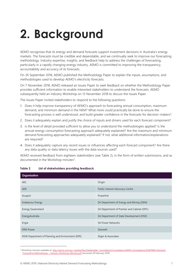# <span id="page-6-0"></span>**2. Background**

AEMO recognises that its energy and demand forecasts support investment decisions in Australia's energy markets. The forecasts must be credible and dependable, and we continually seek to improve our forecasting methodology. Industry expertise, insights, and feedback help to address the challenges of forecasting, particularly in a rapidly changing energy industry. AEMO is committed to improving the transparency, accountability and accuracy of its forecasts.

On 26 September 2018, AEMO published the Methodology Paper to explain the inputs, assumptions, and methodologies used to develop AEMO's electricity forecasts.

On 7 November 2018, AEMO released an Issues Paper to seek feedback on whether the Methodology Paper provides sufficient information to enable interested stakeholders to understand the forecasts. AEMO subsequently held an Industry Workshop on 13 November 2018 to discuss the Issues Paper.

The Issues Paper invited stakeholders to respond to the following questions:

- 1. Does it help improve transparency of AEMO's approach to forecasting annual consumption, maximum demand, and minimum demand in the NEM? What more could practically be done to ensure the forecasting process is well understood, and build greater confidence in the forecasts for decision-makers?
- 2. Does it adequately explain and justify the choice of inputs and drivers used for each forecast component?
- 3. Is the level of detail provided sufficient to allow you to understand the methodologies applied? Is the annual energy consumption forecasting approach adequately explained? Are the maximum and minimum demand forecasting approaches adequately explained? If not, what additional information/explanations are required?
- 4. Does it adequately capture any recent issues or influences affecting each forecast component? Are there any data quality or data latency issues with the data sources used?

AEMO received feedback from eighteen stakeholders (see Table 2), in the form of written submissions, and as documented in the Workshop minutes<sup>2</sup>.

| Organisation                                     |                                            |  |
|--------------------------------------------------|--------------------------------------------|--|
| AEC                                              | Origin                                     |  |
| <b>AER</b>                                       | Public Interest Advocacy Centre            |  |
| Ausgrid                                          | Powerlink                                  |  |
| <b>Endeavour Energy</b>                          | SA Department of Energy and Mining (DEM)   |  |
| Energy Queensland                                | SA Department of Premier and Cabinet (DPC) |  |
| EnergyAustralia                                  | SA Department of State Development (DSD)   |  |
| Engie                                            | <b>SA Power Networks</b>                   |  |
| <b>ERM Power</b>                                 | Stanwell                                   |  |
| NSW Department of Planning and Environment (DPE) | Sliger & Associates                        |  |

#### <span id="page-6-1"></span>**Table 2 List of stakeholders providing feedback**

 $\overline{a}$ 

<sup>&</sup>lt;sup>2</sup> Workshop minutes available at: http://aemo.com.au/-/media/Files/Stakeholder\_Consultation/Consultations/NEM-Consultations/2018/NEM-Demand-Forecasting-Methodology---Industry-Workshop-Minutes.pdf (Accessed 28 February 2019)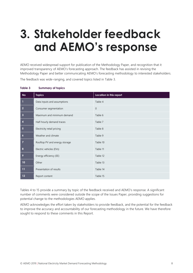## <span id="page-7-0"></span>**3. Stakeholder feedback and AEMO's response**

AEMO received widespread support for publication of the Methodology Paper, and recognition that it improved transparency of AEMO's forecasting approach. The feedback has assisted in revising the Methodology Paper and better communicating AEMO's forecasting methodology to interested stakeholders.

The feedback was wide-ranging, and covered topics listed in [Table 3.](#page-7-1)

| <b>No</b>               | <b>Topics</b>                 | Location in this report |
|-------------------------|-------------------------------|-------------------------|
| 1                       | Data inputs and assumptions   | Table 4                 |
| $\overline{2}$          | Consumer segmentation         | $\mathbf{0}$            |
| $\overline{\mathbf{3}}$ | Maximum and minimum demand    | Table 6                 |
| 4                       | Half-hourly demand traces     | Table 7                 |
| $5\phantom{.0}$         | Electricity retail pricing    | Table 8                 |
| $\boldsymbol{6}$        | Weather and climate           | Table 9                 |
| $\overline{7}$          | Rooftop PV and energy storage | Table 10                |
| 8                       | Electric vehicles (EVs)       | Table 11                |
| 9                       | Energy efficiency (EE)        | Table 12                |
| 10                      | Other                         | Table 13                |
| 11                      | Presentation of results       | Table 14                |
| 12                      | Report content                | Table 15                |

#### <span id="page-7-1"></span>**Table 3 Summary of topics**

Tables 4 to 15 provide a summary by topic of the feedback received and AEMO's response. A significant number of comments were considered outside the scope of the Issues Paper, providing suggestions for potential change to the methodologies AEMO applies.

AEMO acknowledges the effort taken by stakeholders to provide feedback, and the potential for the feedback to improve the accuracy and accountability of our forecasting methodology in the future. We have therefore sought to respond to these comments in this Report.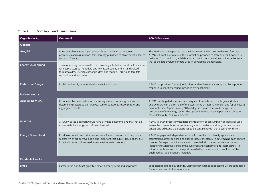#### **Table 4 Data input and assumptions**

<span id="page-8-0"></span>

| Organisation(s)           | Comment                                                                                                                                                                                                                                                               | <b>AEMO Response</b>                                                                                                                                                                                                                                                                                                                                                                                                                                                         |
|---------------------------|-----------------------------------------------------------------------------------------------------------------------------------------------------------------------------------------------------------------------------------------------------------------------|------------------------------------------------------------------------------------------------------------------------------------------------------------------------------------------------------------------------------------------------------------------------------------------------------------------------------------------------------------------------------------------------------------------------------------------------------------------------------|
| General                   |                                                                                                                                                                                                                                                                       |                                                                                                                                                                                                                                                                                                                                                                                                                                                                              |
| Ausgrid                   | Make available a more 'open source' forecast with all data sources,<br>procedures and assumptions transparently published to allow stakeholders to<br>test each forecast                                                                                              | The Methodology Paper sets out the information AEMO uses to develop forecasts.<br>AEMO will continue to review the information provided to stakeholders, however, is<br>restricted from publishing all data sources due to commercial in confidence issues, as                                                                                                                                                                                                               |
| <b>Energy Queensland</b>  | There is industry-wide benefit from providing a fully-functional or 'live' model<br>with easy access to input data and key assumptions, and a standardised<br>format to allow users to exchange ideas and models. This would facilitate<br>replication and innovation | well as the large volume of data used in developing the forecasts.                                                                                                                                                                                                                                                                                                                                                                                                           |
| <b>Endeavour Energy</b>   | Explain and justify in more detail the choice of inputs                                                                                                                                                                                                               | AEMO has provided further justifications and explanations throughout this report in<br>response to specific feedback provided by stakeholders.                                                                                                                                                                                                                                                                                                                               |
| <b>Business sector</b>    |                                                                                                                                                                                                                                                                       |                                                                                                                                                                                                                                                                                                                                                                                                                                                                              |
| Ausgrid, NSW DPE          | Provide further information on the survey process, including process for<br>determining sectors to be surveyed, survey questions, response rate, and<br>aggregated results                                                                                            | AEMO uses targeted interviews and requests forecasts from the largest industrial<br>energy users with a threshold of the user having at least 10 MW demand for at least 36<br>days in the year (approximately 10% of days in a year), across all energy users<br>irrespective of the energy sector. The updated Methodology Paper now explains in<br>more detail AEMO's survey process.                                                                                      |
| <b>NSW DPE</b>            | A survey-based approach would have a limited timeframe and may not be<br>appropriate for a long-term 20-year forecast                                                                                                                                                 | AEMO's survey process investigates the trajectory of consumption of industrial users<br>across the forecast horizon, considering short-, medium- and long-term economic<br>drivers and adjusting the trajectories to be consistent with those economic drivers.                                                                                                                                                                                                              |
| <b>Energy Queensland</b>  | Provide economic and other assumptions for each sector, including those<br>sectors which are surveyed. It is also important that survey assumptions are<br>in line with assumptions used elsewhere to create forecasts.                                               | AEMO engages an independent economic consultant to identify appropriate<br>assumptions across sectors, and applies these consistently in determining each sector's<br>forecast. Surveyed participants are also provided with these consistent economic<br>indicators to align the trends of the surveyed and econometric-forecast sectors. In<br>future, a public version of the report provided by the economic consultant will be<br>published as supplementary materials. |
| <b>Residential sector</b> |                                                                                                                                                                                                                                                                       |                                                                                                                                                                                                                                                                                                                                                                                                                                                                              |
| <b>Engie</b>              | Factor in the significant growth in smart home systems and appliances                                                                                                                                                                                                 | Suggested methodology change. Methodology change suggestions will be considered<br>for improvements in future forecasts.                                                                                                                                                                                                                                                                                                                                                     |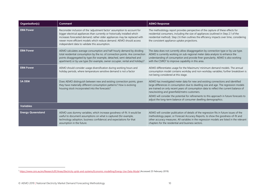| Organisation(s)          | Comment                                                                                                                                                                                                                                                                                                                                                       | <b>AEMO Response</b>                                                                                                                                                                                                                                                                                                                                                                                                                                                              |
|--------------------------|---------------------------------------------------------------------------------------------------------------------------------------------------------------------------------------------------------------------------------------------------------------------------------------------------------------------------------------------------------------|-----------------------------------------------------------------------------------------------------------------------------------------------------------------------------------------------------------------------------------------------------------------------------------------------------------------------------------------------------------------------------------------------------------------------------------------------------------------------------------|
| <b>ERM Power</b>         | Reconsider inclusion of the 'adjustment factor' assumption to account for<br>bigger electrical appliances than currently or historically installed which<br>increases forecasted demand; rather older appliances may be replaced with<br>newer more efficient models which reduce demand. AEMO should access<br>independent data to validate this assumption. | The methodology report provides perspective of the capture of these effects for<br>residential consumers, including the size of appliances (outlined in Step 2.1 of the<br>residential method). Step 2.6 then outlines the efficiency impacts over time, considering<br>the consistent appliance uptake projections.                                                                                                                                                              |
| <b>ERM Power</b>         | AEMO calculates average consumption and half-hourly demand by dividing<br>total residential consumption by the no. of connection points. Are connection<br>points disaggregated by type (for example, detached, semi-detached and<br>apartment) or by use type (for example, owner occupier, rental and holiday)?                                             | The data does not currently allow disaggregation by connection type or by use type.<br>AEMO is currently working on sub-regional meter data analysis to enhance the<br>understanding of consumption and provide finer granularity. AEMO is also working<br>with the $CSIRO3$ to improve capability in this area.                                                                                                                                                                  |
| <b>ERM Power</b>         | AEMO should consider usage diversification during working hours and<br>holiday periods, where temperature sensitive demand is not a factor                                                                                                                                                                                                                    | AEMO differentiates usage for the Maximum/ minimum demand models. The annual<br>consumption model contains workday and non-workday variables; further breakdown is<br>not being considered at this stage.                                                                                                                                                                                                                                                                         |
| <b>SA DEM</b>            | Does AEMO distinguish between new and existing connection points, given<br>they have materially different consumption patterns? How is evolving<br>housing stock incorporated into the forecasts?                                                                                                                                                             | AEMO has investigated meter data for new and existing connections and identified<br>large differences in consumption due to dwelling size and age. The regression models<br>are trained on only recent years of consumption data to reflect the current balance of<br>new/existing and greenfield/metro customers.<br>AEMO will consider the potential for refinements to this approach in future forecasts to<br>adjust the long-term balance of consumer dwelling demographics. |
| <b>Variables</b>         |                                                                                                                                                                                                                                                                                                                                                               |                                                                                                                                                                                                                                                                                                                                                                                                                                                                                   |
| <b>Energy Queensland</b> | AEMO uses dummy variables, which increase goodness-of-fit. It would be<br>useful to document assumptions on what is captured (for example,<br>technology adoption, business confidence) and expectations for that<br>assumption in the future.                                                                                                                | AEMO will consider publication of details of the regression fits in future issues of the<br>methodology paper, or Forecast Accuracy Reports, to show the goodness-of-fit and<br>other accuracy measures. All variables in the regression models are listed in the relevant<br>chapters for the residential and business sectors.                                                                                                                                                  |

 $\overline{a}$ 

<span id="page-9-0"></span><sup>&</sup>lt;sup>3</sup> <https://www.csiro.au/en/Research/EF/Areas/Electricity-grids-and-systems/Economic-modelling/Energy-Use-Data-Model> (Accessed 25 February 2019)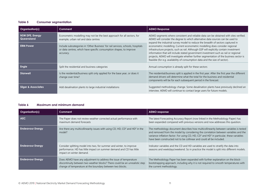#### **Table 5 Consumer segmentation**

| Organisation(s)                | Comment                                                                                                                                                             | <b>AEMO Response</b>                                                                                                                                                                                                                                                                                                                                                                                                                                                                                                      |
|--------------------------------|---------------------------------------------------------------------------------------------------------------------------------------------------------------------|---------------------------------------------------------------------------------------------------------------------------------------------------------------------------------------------------------------------------------------------------------------------------------------------------------------------------------------------------------------------------------------------------------------------------------------------------------------------------------------------------------------------------|
| NSW DPE, Energy<br>Queensland  | Econometric modelling may not be the best approach for all sectors, for<br>example, urban rail and data centres                                                     | AEMO segments where consistent and reliable data can be obtained with sites verified.<br>AEMO will consider the degree to which alternative data sources can be used to                                                                                                                                                                                                                                                                                                                                                   |
| <b>ERM Power</b>               | Include subcategories in 'Other Business' for rail services, schools, hospitals<br>or data centres, which have specific consumption shapes, to improve<br>accuracy. | expand the industrial survey model to reduce the breadth of sectors captured in<br>econometric modelling. Current econometric modelling does consider regional<br>infrastructure projects, such as rail. Although GSP will explicitly contain investment<br>information that will include stated government investment such as rail or regional<br>projects, AEMO will investigate whether further segmentation of the business sector is<br>feasible (for e.g. availability of consumption data and the size of sector). |
| Engie                          | Split the residential and business categories                                                                                                                       | Annual consumption is already split for these sectors                                                                                                                                                                                                                                                                                                                                                                                                                                                                     |
| <b>Stanwell</b>                | Is the residential/business split only applied for the base year, or does it<br>change over time?                                                                   | The residential/business split is applied in the first year. After the first year the different<br>demand drivers will determine what the total for the business and residential<br>components will be for each subsequent period in the forecast.                                                                                                                                                                                                                                                                        |
| <b>Sliger &amp; Associates</b> | Add desalination plants to large industrial installations                                                                                                           | Suggested methodology change. Some desalination plants have previously declined an<br>interview. AEMO will continue to contact large users for future models.                                                                                                                                                                                                                                                                                                                                                             |

#### **Table 6 Maximum and minimum demand**

<span id="page-10-0"></span>

| <b>Organisation(s)</b>  | Comment                                                                                                                                                                                                        | <b>AEMO</b> response                                                                                                                                                                                                                                                                                                                                                   |
|-------------------------|----------------------------------------------------------------------------------------------------------------------------------------------------------------------------------------------------------------|------------------------------------------------------------------------------------------------------------------------------------------------------------------------------------------------------------------------------------------------------------------------------------------------------------------------------------------------------------------------|
| <b>AEC</b>              | The Paper does not review weather corrected actual performance with<br>maximum demand forecasts                                                                                                                | The latest Forecasting Accuracy Report (now linked in the Methodology Paper) has<br>been expanded compared with previous versions and now addresses this question.                                                                                                                                                                                                     |
| <b>Endeavour Energy</b> | Are there any multicollinearity issues with using CD, HD, $CD^2$ and $HD^2$ in the<br>model?                                                                                                                   | The methodology document describes how multicollinearity between variables is tested<br>and removed from the model by considering the correlation between variables and the<br>variance-inflation-factor. For using CD, HD, CD <sup>2</sup> and HD <sup>2</sup> in particular, these variables<br>have been constructed not to be collinear and could all be included. |
| <b>Endeavour Energy</b> | Consider splitting model into two, for summer and winter, to improve<br>performance. HD has little impact on summer demand and CD has little<br>impact on winter demand.                                       | Indicator variables and the CD and HD variables are used to stratify the data into<br>seasons and weekdays/weekend. So in practice the model is split into different models.                                                                                                                                                                                           |
| <b>Endeavour Energy</b> | Does AEMO have any adjustment to address the issue of temperature<br>discontinuity between two weather blocks? There could be an unrealistic step<br>change of temperature at the boundary between two blocks. | The Methodology Paper has been expanded with further explanation on the block-<br>bootstrapping approach, including why it is not required to smooth temperatures with<br>the current methodology.                                                                                                                                                                     |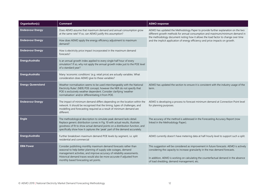| Organisation(s)          | Comment                                                                                                                                                                                                                                                                                                                          | <b>AEMO</b> response                                                                                                                                                                                                                                                                                          |
|--------------------------|----------------------------------------------------------------------------------------------------------------------------------------------------------------------------------------------------------------------------------------------------------------------------------------------------------------------------------|---------------------------------------------------------------------------------------------------------------------------------------------------------------------------------------------------------------------------------------------------------------------------------------------------------------|
| <b>Endeavour Energy</b>  | Does AEMO assume that maximum demand and annual consumption grow<br>at the same rate? If so, can AEMO justify this assumption?                                                                                                                                                                                                   | AEMO has updated the Methodology Paper to provide further explanation on the two<br>different growth methods for annual consumption and maximum/minimum demand in<br>the methodology document noting how it allows the load factor to change over time                                                        |
| <b>Endeavour Energy</b>  | How does AEMO apply the energy efficiency adjustment to maximum<br>demand?                                                                                                                                                                                                                                                       | and the implicit application of energy efficiency and price impacts on growth.                                                                                                                                                                                                                                |
| <b>Endeavour Energy</b>  | How is electricity price impact incorporated in the maximum demand<br>forecasts?                                                                                                                                                                                                                                                 |                                                                                                                                                                                                                                                                                                               |
| <b>Energy Australia</b>  | Is an annual growth index applied to every single half hour of every<br>simulation? If so, why not apply the annual growth index just to the POE level<br>of a standard year?                                                                                                                                                    |                                                                                                                                                                                                                                                                                                               |
| <b>Energy Australia</b>  | Many 'economic conditions' (e.g. retail price) are actually variables. What<br>consideration does AEMO give to these variables?                                                                                                                                                                                                  |                                                                                                                                                                                                                                                                                                               |
| <b>Energy Queensland</b> | Weather normalisation seems to be used interchangeably with the National<br>Electricity Rules' (NER) POE concept, however the NER do not specify that<br>POE is exclusively weather dependent. Consider clarifying 'weather<br>normalisation' and/or differentiating it from POE.                                                | AEMO has updated the section to ensure it is consistent with the industry usage of the<br>term.                                                                                                                                                                                                               |
| <b>Endeavour Energy</b>  | The impact of minimum demand differs depending on the location within the<br>network. It should be recognised that the timing, types of challenges, and<br>modelling and forecasting required as a result of minimum demand are<br>different.                                                                                    | AEMO is developing a process to forecast minimum demand at Connection Point level<br>for planning purposes.                                                                                                                                                                                                   |
| Engie                    | The methodological description to simulate peak demand lacks detail.<br>Replace generic distribution curves in Fig. 10 with actual results, illustrate<br>goodness of fit to show actual demand points on a distribution function, and<br>specifically show how it captures the 'peak' part of the demand accurately.            | The accuracy of the method is addressed in the Forecasting Accuracy Report (now<br>linked in the Methodology Paper).                                                                                                                                                                                          |
| <b>Energy Australia</b>  | Further breakdown maximum demand POE levels by segment, i.e. split<br>residential and commercial                                                                                                                                                                                                                                 | AEMO currently doesn't have metering data at half-hourly level to support such a split.                                                                                                                                                                                                                       |
| <b>ERM Power</b>         | Consider publishing monthly maximum demand forecasts rather than<br>seasonal to help better planning of supply side outages, demand<br>management activities, and improve accuracy of reliability assessments.<br>Historical demand traces would also be more accurate if adjusted from<br>monthly based forecasting set points. | This suggestion will be considered as improvement in future forecasts. AEMO is actively<br>considering the capacity to increase granularity in the max demand forecasts.<br>In addition, AEMO is working on calculating the counterfactual demand in the absence<br>of load shedding, demand management, etc. |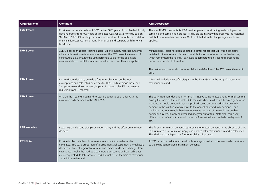| Organisation(s)     | Comment                                                                                                                                                                                                                                                                                                                                                                                           | <b>AEMO</b> response                                                                                                                                                                                                                                                                                                                                                                                                                                                                                                                                                                                                       |
|---------------------|---------------------------------------------------------------------------------------------------------------------------------------------------------------------------------------------------------------------------------------------------------------------------------------------------------------------------------------------------------------------------------------------------|----------------------------------------------------------------------------------------------------------------------------------------------------------------------------------------------------------------------------------------------------------------------------------------------------------------------------------------------------------------------------------------------------------------------------------------------------------------------------------------------------------------------------------------------------------------------------------------------------------------------------|
| <b>ERM Power</b>    | Provide more details on how AEMO derives 1000 years of possible half hourly<br>demand traces from 1000 years of simulated weather data. For e.g., publish<br>10, 50 and 90% POE of daily maximum temperatures from AEMO's model for<br>the initial forecast year on a monthly timescale and compare with historical<br>BOM data.                                                                  | The way AEMO constructs its 1000 weather years is constructing each such year from<br>sampling and combining historical 14-day blocks in a way that preserves the historical<br>distribution of weather outcomes. On top of that, climate change adjustments are<br>applied.                                                                                                                                                                                                                                                                                                                                               |
| <b>ERM Power</b>    | AEMO applies an Excess Heating Factor (EHF) to modify forecast outcomes<br>where daily maximum temperatures exceed the 95 <sup>th</sup> percentile value for 3<br>consecutive days. Provide the 95th percentile value for the applicable<br>weather stations, the EHF modification values, and how they are applied.                                                                              | Methodology Paper has been updated to better reflect that EHF was a candidate<br>variable for the maximum demand model, but was not selected in the final model,<br>which rather used the rolling 3-day average temperature instead to represent the<br>impact of extended hot weather.<br>The methodology now also better explains the definition of the 95 <sup>th</sup> percentile used for<br>EHF.                                                                                                                                                                                                                     |
| <b>ERM Power</b>    | For maximum demand, provide a further explanation on the input<br>assumptions and calculated outcomes for HDD, CDD, average 'base' and<br>'temperature sensitive' demand, impact of rooftop solar PV, and energy<br>reduction from EE schemes.                                                                                                                                                    | AEMO will include a waterfall diagram in the 2019 ESOO in the insight's sections of<br>maximum demand.                                                                                                                                                                                                                                                                                                                                                                                                                                                                                                                     |
| <b>ERM Power</b>    | Why do the maximum demand forecasts appear to be at odds with the<br>maximum daily demand in the MT PASA?                                                                                                                                                                                                                                                                                         | The daily maximum demand in MT PASA is native as-generated and is for mid-summer<br>exactly the same as the seasonal ESOO forecast when small non-scheduled generation<br>is added. It should be noted that it is profiled based on observed highest weekly<br>demand in the last five years relative to the annual observed max demand. For a<br>particular day in a week, it therefore represents the level of demand that on that<br>particular day would only be exceeded one year out of ten. Note also, this is very<br>different to a definition that would have the forecast value exceeded one day out of<br>ten. |
| <b>FRG Workshop</b> | Better explain demand side participation (DSP) and the effect on maximum<br>demand.                                                                                                                                                                                                                                                                                                               | The forecast maximum demand represents the forecast demand in the absence of DSP.<br>DSP is treated as a source of supply and applied after maximum demand is calculated.<br>The Methodology Paper now further explains this process.                                                                                                                                                                                                                                                                                                                                                                                      |
| <b>Powerlink</b>    | Provide further details on how maximum and minimum demand is<br>calculated. In QLD, a proportion of a large industrial customer's annual peak<br>demand at time of regional maximum and minimum demand changes from<br>year to year. Make the methodology more transparent on how such loads<br>are incorporated, to take account load fluctuations at the time of maximum<br>and minimum demand. | AEMO has added additional detail on how large industrial customers loads contribute<br>to the coincident regional maximum demand.                                                                                                                                                                                                                                                                                                                                                                                                                                                                                          |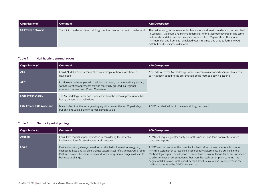| <b>Organisation(s)</b> | Comment                                                               | <b>AEMO</b> response                                                                                                                                                                                                                                                                                                                                                |
|------------------------|-----------------------------------------------------------------------|---------------------------------------------------------------------------------------------------------------------------------------------------------------------------------------------------------------------------------------------------------------------------------------------------------------------------------------------------------------------|
| SA Power Networks      | The minimum demand methodology is not as clear as for maximum demand. | The methodology is the same for both minimum and maximum demand, as described<br>in Section 5 "Maximum and minimum demand" of the Methodology Paper. The same<br>half-hourly model is used and simulated with rooftop PV generation. The annual<br>minimum demand from each simulated year is retained and used to form the POE<br>distributions for minimum demand |

#### **Table 7 Half hourly demand traces**

| Organisation(s)                | Comment                                                                                                                                                                                     | <b>AEMO</b> response                                                                                                                                         |
|--------------------------------|---------------------------------------------------------------------------------------------------------------------------------------------------------------------------------------------|--------------------------------------------------------------------------------------------------------------------------------------------------------------|
| <b>AER</b>                     | Could AEMO provide a comprehensive example of how a load trace is<br>developed                                                                                                              | Appendix A8 of the Methodology Paper now contains a worked example. A reference<br>to it has been added to the presentation of the methodology in Section 6. |
| <b>AEC</b>                     | Provide worked examples with real data and every step methodically shown,<br>so that statistical approaches may be more fully grasped, eg regional<br>maximum demand and 10 and 50% traces. |                                                                                                                                                              |
| <b>Endeavour Energy</b>        | The Methodology Paper does not explain how the forecast process for a half<br>hourly demand is actually done                                                                                |                                                                                                                                                              |
| <b>ERM Power, FRG Workshop</b> | Make it clear that the trace growing algorithm scales the top 10 peak days,<br>but only one value is grown to max demand value                                                              | AEMO has clarified this in the methodology document                                                                                                          |

#### **Table 8 Electricity retail pricing**

<span id="page-13-2"></span><span id="page-13-1"></span><span id="page-13-0"></span>

| Organisation(s) | Comment                                                                                                                                                                                                                                                             | <b>AEMO</b> response                                                                                                                                                                                                                                                                                                                                                                                                                                                                            |
|-----------------|---------------------------------------------------------------------------------------------------------------------------------------------------------------------------------------------------------------------------------------------------------------------|-------------------------------------------------------------------------------------------------------------------------------------------------------------------------------------------------------------------------------------------------------------------------------------------------------------------------------------------------------------------------------------------------------------------------------------------------------------------------------------------------|
| Ausgrid         | Consultant reports appear dismissive in considering the potential<br>implementation of cost-reflective tariff structures.                                                                                                                                           | AEMO will request greater clarity on tariff structures and tariff popularity in future<br>consultant reports.                                                                                                                                                                                                                                                                                                                                                                                   |
| Engie           | Residential pricing changes need to be reflected in the methodology, e.g.<br>changes to fixed and variable charges towards cost reflective network pricing.<br>Past trends won't be useful in demand forecasting, since changes will lead to<br>behavioural change. | AEMO's models consider the potential for tariff reform or customer retail churn to<br>minimise customer price response. Price elasticity adjustments are outlined in the<br>Methodology Paper. The adoption of time of use or cost reflective tariffs are considered<br>to adjust timings of consumption rather than the total consumption patterns. The<br>degree of DER uptake is influenced by tariff structures also, and is considered in the<br>methodologies used by AEMO's consultants. |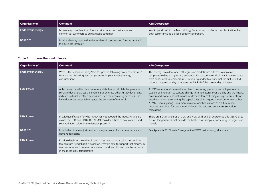| <b>Organisation(s)</b>  | Comment                                                                                                                | AEMO response                                                                                                                            |
|-------------------------|------------------------------------------------------------------------------------------------------------------------|------------------------------------------------------------------------------------------------------------------------------------------|
| <b>Endeavour Energy</b> | Is there any consideration of future price impact on residential and<br>commercial customers to adjust usage patterns? | Yes. Appendix A.1 in the Methodology Paper now provides further clarification that<br>both sectors include a price elasticity component. |
| NSW DPE                 | Is price elasticity captured in the residential consumption forecast as it is in<br>the business forecast?             |                                                                                                                                          |

#### **Table 9 Weather and climate**

<span id="page-14-0"></span>

| Organisation(s)         | Comment                                                                                                                                                                                                                                                                                           | <b>AEMO</b> response                                                                                                                                                                                                                                                                                                                                                                                                                                                                                                   |
|-------------------------|---------------------------------------------------------------------------------------------------------------------------------------------------------------------------------------------------------------------------------------------------------------------------------------------------|------------------------------------------------------------------------------------------------------------------------------------------------------------------------------------------------------------------------------------------------------------------------------------------------------------------------------------------------------------------------------------------------------------------------------------------------------------------------------------------------------------------------|
| <b>Endeavour Energy</b> | What is the reason for using 9pm to 9pm the following day temperatures?<br>How do the 'following day' temperatures impact 'today's' energy<br>consumption?                                                                                                                                        | This average was developed off regression models with different windows of<br>temperature data that (in-part) accounted for capturing residual heat in the response<br>from consumers to temperatures. Section expanded to clarify that the first 9:00 PM<br>value is the previous day of interest until 9: PM of the current day of interest.                                                                                                                                                                         |
| <b>ERM Power</b>        | AEMO uses 6 weather stations in 5 capital cities to calculate temperature<br>sensitive demand across the entire NEM, whereas other AEMO documents<br>indicate up to 20 weather stations are used for forecasting purposes. The<br>limited number potentially impacts the accuracy of the results. | AEMO's operational demand short term forecasting process uses multiple weather<br>stations as important to capture change in temperatures over the day and the impact<br>on demand. For a seasonal maximum demand forecast using a single representative<br>weather station representing the capital cities gives a good model performance, but<br>AEMO is investigating using more regional weather stations as a future model<br>improvement, both for maximum/minimum demand and annual consumption<br>forecasting. |
| <b>ERM Power</b>        | Provide justification for why AEMO has not adopted the industry standard<br>values for HDD and CDDs. Did AEMO consider a 'time of day' variable and<br>solar radiation values in the decision process?                                                                                            | There are BOM standards of CDD and HDD of 18 and 21 degree cut-offs. AEMO uses<br>cut-off temperatures that provide the best out-of-sample error testing for regression<br>models.                                                                                                                                                                                                                                                                                                                                     |
| <b>NSW DPE</b>          | How is the climate adjustment factor implemented for maximum/ minimum<br>demand forecasts?                                                                                                                                                                                                        | See Appendix.23: Climate Change of the ESOO methodology document                                                                                                                                                                                                                                                                                                                                                                                                                                                       |
| <b>ERM Power</b>        | Provide details on how the climate adjustment factor is calculated and the<br>temperature trend that it is based on. Provide data to support that maximum<br>temperatures are increasing at a known trend, and higher than the increase<br>in the mean daily temperature.                         |                                                                                                                                                                                                                                                                                                                                                                                                                                                                                                                        |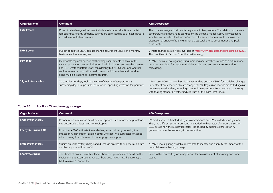| Organisation(s)                | Comment                                                                                                                                                                                                                                                                                                                                               | <b>AEMO</b> response                                                                                                                                                                                                                                                                                                                                           |
|--------------------------------|-------------------------------------------------------------------------------------------------------------------------------------------------------------------------------------------------------------------------------------------------------------------------------------------------------------------------------------------------------|----------------------------------------------------------------------------------------------------------------------------------------------------------------------------------------------------------------------------------------------------------------------------------------------------------------------------------------------------------------|
| <b>ERM Power</b>               | Does climate change adjustment include a saturation effect? le, at certain<br>temperatures, energy efficiency savings are zero, leading to a linear increase<br>in load relative to temperature.                                                                                                                                                      | The climate change adjustment is only made to temperature. The relationship between<br>temperature and demand is captured by the demand model. AEMO is investigating<br>whether 'conservation load factors' across different appliances would improve the<br>distinction of energy efficiency savings across total energy consumption and peak<br>consumption. |
| <b>ERM Power</b>               | Publish calculated yearly climate change adjustment values on a monthly<br>basis for each reference year                                                                                                                                                                                                                                              | Climate change data is freely available at https://www.climatechangeinaustralia.gov.au/.<br>This is outlined in Section 5.1 of the methodology.                                                                                                                                                                                                                |
| <b>Powerlink</b>               | Incorporate regional-specific methodology adjustments to account for<br>varying population centres, industries, load distribution and weather patterns.<br>For QLD, weather patterns vary considerably but AEMO uses one weather<br>station to weather normalise maximum and minimum demand; consider<br>using multiple stations to improve accuracy. | AEMO is actively investigating using more regional weather stations as a future model<br>improvement, both for maximum/minimum demand and annual consumption<br>forecasting.                                                                                                                                                                                   |
| <b>Sliger &amp; Associates</b> | To consider hot days, look at the rate of change of temperature is<br>succeeding days as a possible indicator of impending excessive temperature                                                                                                                                                                                                      | AEMO uses BOM data for historical weather data and the CSIRO for modelled changes<br>in weather from expected climate change effects. Regression models are tested against<br>numerous weather data, including changes in temperature from previous data along<br>with trialling standard weather indices (such as the BOM Heat Index).                        |

#### **Table 10 Rooftop PV and energy storage**

<span id="page-15-0"></span>

| Organisation(s)         | Comment                                                                                                                                                                                               | <b>AEMO</b> response                                                                                                                                                                                                                                            |
|-------------------------|-------------------------------------------------------------------------------------------------------------------------------------------------------------------------------------------------------|-----------------------------------------------------------------------------------------------------------------------------------------------------------------------------------------------------------------------------------------------------------------|
| <b>Endeavour Energy</b> | Provide more verification detail on assumptions used in forecasting methods,<br>e.g. post model adjustments for rooftop PV                                                                            | PV production is estimated using a solar irradiance and PV installed capacity model.<br>Then, the different sectorial amounts are added to that sector (for example, section<br>3.2.2 details how the residential sector is modelled by adding estimates for PV |
| Energy Australia, FRG   | How does AEMO estimate the underlying assumption by removing the<br>impact of PV generation? Explain better whether PV is subtracted or added<br>when moving from delivered to underlying consumption | generation onto the sector's grid consumption)                                                                                                                                                                                                                  |
| <b>Endeavour Energy</b> | Studies on solar battery charge and discharge profiles, their penetration rate,<br>and battery size, will be useful.                                                                                  | AEMO is investigating available meter data to identify and quantify the impact of the<br>potential role for battery storage.                                                                                                                                    |
| EnergyAustralia         | The choice of drivers is well explained, however, provide more detail on the<br>choice of input assumptions. For e.g., how does AEMO test the accuracy of<br>back calculated rooftop PV?              | Refer to the Forecasting Accuracy Report for an assessment of accuracy and back-<br>testing                                                                                                                                                                     |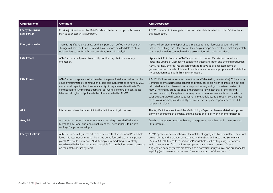| <b>Organisation(s)</b>                      | Comment                                                                                                                                                                                                                                                                                                                                                                          | <b>AEMO</b> response                                                                                                                                                                                                                                                                                                                                                                                                                                                                                                                                                                                                                                       |
|---------------------------------------------|----------------------------------------------------------------------------------------------------------------------------------------------------------------------------------------------------------------------------------------------------------------------------------------------------------------------------------------------------------------------------------|------------------------------------------------------------------------------------------------------------------------------------------------------------------------------------------------------------------------------------------------------------------------------------------------------------------------------------------------------------------------------------------------------------------------------------------------------------------------------------------------------------------------------------------------------------------------------------------------------------------------------------------------------------|
| <b>Energy Australia</b><br><b>ERM Power</b> | Provide justification for the 20% PV rebound effect assumption. Is there a<br>plan to back-test this assumption?                                                                                                                                                                                                                                                                 | AEMO continues to investigate customer meter data, isolated for solar PV sites, to test<br>this assumption.                                                                                                                                                                                                                                                                                                                                                                                                                                                                                                                                                |
| <b>Energy Australia</b>                     | There is significant uncertainty on the impact that rooftop PV and energy<br>storage will have on future demand. Provide more detailed data to allow<br>stakeholders to perform further sensitivity/ scenario analysis                                                                                                                                                           | AEMO will consider the depth of data released for each forecast update. This will<br>include publishing traces for rooftop PV, energy storage and electric vehicles separately<br>so that stakeholders can replace these assumptions with their own views.                                                                                                                                                                                                                                                                                                                                                                                                 |
| <b>ERM Power</b>                            | AEMO assumes all panels face north, but this may shift to a westerly<br>orientation.                                                                                                                                                                                                                                                                                             | Appendix A3.1.2 describes AEMO's approach to rooftop PV orientations, with an<br>increasing uptake of west-facing panels to increase afternoon and evening production.<br>AEMO has now entered into an agreement to receive additional estimations of<br>generations from panels of different orientation, and where appropriate will update the<br>PV generation model with this new information.                                                                                                                                                                                                                                                         |
| <b>ERM Power</b>                            | AEMO's output appears to be based on the panel installation value, but this<br>could overestimate PV contribution as it is common practice to have 15-25%<br>more panel capacity than inverter capacity. It may also underestimate PV<br>contribution to summer peak demand, as inverters continue to contribute<br>later and at higher output levels than that modelled by AEMO | AEMO's PV forecast represents the output to AC (limited by inverter size). This capacity<br>is multiplied by a normalised generation profile, based on historical insolation but also<br>calibrated to actual observations (from pvoutput.org and gross-metered systems in<br>NSW). The energy produced should therefore closely match that of the existing<br>portfolio of rooftop PV systems, but may have more uncertainty at times outside the<br>solar peak. AEMO will continue to refine its methodology, eg through new data feeds<br>from Solcast and improved visibility of inverter size vs panel capacity once the DER<br>register is in place. |
| <b>AER</b>                                  | It is unclear where batteries fit into the definitions of grid demand                                                                                                                                                                                                                                                                                                            | The Key Definitions section of the Methodology Paper has been updated to improve<br>clarity on definitions of demand, and the inclusion of 5 MW or higher for batteries.                                                                                                                                                                                                                                                                                                                                                                                                                                                                                   |
| Ausgrid                                     | Assumptions around battery storage are not adequately clarified in the<br>Methodology Paper and Consultant's reports. There appears to be little<br>testing of approaches adopted.                                                                                                                                                                                               | Details of consultants work for battery storage are to be enhanced in the upcoming<br>2019 forecasts                                                                                                                                                                                                                                                                                                                                                                                                                                                                                                                                                       |
| <b>Energy Australia</b>                     | AEMO assumes all systems act to minimise costs at an individual/household<br>level. This assumption may not hold true going forward, e.g. virtual power<br>plants. We would appreciate AEMO completing modelling on centrally-<br>coordinated behaviour and make it possible for stakeholders to run scenarios<br>on the uptake of such systems.                                 | AEMO applies scenario analysis on the uptake of aggregated battery systems, or virtual<br>power plants, in the broader assessments in the ESOO and Integrated System Plan<br>(ISP). AEMO still forecasts the individual/ household level battery usage separately,<br>which is subtracted from the forecast operational maximum demand forecast.<br>Aggregated battery systems are treated as a potential supply source, and are modelled<br>explicitly (and therefore the demand forecasts are gross of these impacts).                                                                                                                                   |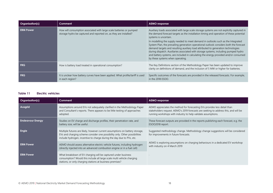| <b>Organisation(s)</b> | Comment                                                                                                                                   | AEMO response                                                                                                                                                                                                                                                                                                                                                                                                                                                                                                                                                                                                                                                                                         |
|------------------------|-------------------------------------------------------------------------------------------------------------------------------------------|-------------------------------------------------------------------------------------------------------------------------------------------------------------------------------------------------------------------------------------------------------------------------------------------------------------------------------------------------------------------------------------------------------------------------------------------------------------------------------------------------------------------------------------------------------------------------------------------------------------------------------------------------------------------------------------------------------|
| ERM Power              | How will consumption associated with large scale batteries or pumped<br>storage hydro be captured and reported on, as they are installed? | Auxiliary loads associated with large scale storage systems are not explicitly captured in<br>the demand forecast targets as the installation timing and operation of these potential<br>systems is uncertain.<br>In modelling the supply needed to meet demand in outlooks such as the Integrated<br>System Plan, the prevailing generation operational outlook considers both the forecast<br>demand targets and resulting auxiliary load attributed to generation technologies<br>during dispatch. Auxiliaries associated with storage systems, including pumped hydro<br>and battery systems, are included in calculating the energy provided and/or consumed<br>by these systems when operating. |
| <b>FRG</b>             | How is battery load treated in operational consumption?                                                                                   | The Key Definitions section of the Methodology Paper has been updated to improve<br>clarity on definitions of demand, and the inclusion of 5 MW or higher for batteries.                                                                                                                                                                                                                                                                                                                                                                                                                                                                                                                              |
| <b>FRG</b>             | It is unclear how battery curves have been applied. What profile/tariff is used<br>in each region?                                        | Specific outcomes of the forecasts are provided in the released forecasts. For example,<br>in the 2018 ESOO.                                                                                                                                                                                                                                                                                                                                                                                                                                                                                                                                                                                          |

#### **Table 11 Electric vehicles**

<span id="page-17-0"></span>

| Organisation(s)         | Comment                                                                                                                                                                                                                             | <b>AEMO</b> response                                                                                                                                                                                                               |
|-------------------------|-------------------------------------------------------------------------------------------------------------------------------------------------------------------------------------------------------------------------------------|------------------------------------------------------------------------------------------------------------------------------------------------------------------------------------------------------------------------------------|
| <b>Ausgrid</b>          | Assumptions around EVs not adequately clarified in the Methodology Paper<br>and Consultant's reports. There appears to be little testing of approaches<br>adopted.                                                                  | AEMO appreciates the method for forecasting EVs provides less detail than<br>stakeholders request. AEMO's 2019 forecasts are seeking to address this, and will be<br>running workshops with industry to help validate assumptions. |
| <b>Endeavour Energy</b> | Studies on EV charge and discharge profiles, their penetration rate, and<br>battery size, will be useful.                                                                                                                           | These forecast outputs are provided in the reports publishing each forecast, e.g. the<br>ESOO2018 report.                                                                                                                          |
| <b>Engie</b>            | Multiple futures are likely, however current assumptions on battery storage,<br>EVs and charging scheme consider one possibility only. Other possibilities<br>include hydrogen, incentive to charge during the day due to PVs, etc. | Suggested methodology change. Methodology change suggestions will be considered<br>for improvements in future forecasts.                                                                                                           |
| <b>ERM Power</b>        | AEMO should assess alternative electric vehicle futures, including hydrogen<br>(directly injected into an advanced combustion engine or in a fuel cell)                                                                             | AEMO is exploring assumptions on charging behaviours in a dedicated EV workshop<br>with industry on 4 March 2019                                                                                                                   |
| <b>ERM Power</b>        | What breakdown of EV charging will be captured under business<br>consumption? Would this include all large scale multi vehicle charging<br>stations, or only charging stations at business premises?                                |                                                                                                                                                                                                                                    |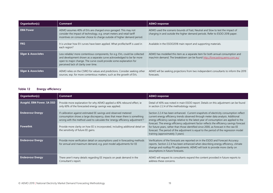| <b>Organisation(s)</b>         | Comment                                                                                                                                                                                                                                                             | <b>AEMO</b> response                                                                                                                                          |
|--------------------------------|---------------------------------------------------------------------------------------------------------------------------------------------------------------------------------------------------------------------------------------------------------------------|---------------------------------------------------------------------------------------------------------------------------------------------------------------|
| <b>ERM Power</b>               | AEMO assumes 40% of EVs are charged once garaged. This may not<br>consider the impact of technology, e.g. smart meters and retail tariff<br>incentives on consumer choice to charge outside of higher demand period.                                                | AEMO used the scenario bounds of Fast, Neutral and Slow to test the impact of<br>charging in and outside the higher demand periods. Refer to ESOO 2018 paper. |
| <b>FRG</b>                     | It is unclear how EV curves have been applied. What profile/tariff is used in<br>each region?                                                                                                                                                                       | Available in the ESOO2018 main report and supporting materials.                                                                                               |
| <b>Sliger &amp; Associates</b> | Less reliable/ more contentious components, for e.g. EVs, could be collected<br>and development shown as a separate curve acknowledged to be far more<br>open to major change. The curve could provide some explanation for<br>perceived lack of clarity over time. | AEMO has modelled this item as a separate item for both annual consumption and<br>max/min demand. The breakdown can be found http://forecasting.aemo.com.au/  |
| <b>Sliger &amp; Associates</b> | AEMO relies on the CSIRO for values and predictions. Consider seeking other<br>sources, esp. for more contentious matters, such as the growth of EVs.                                                                                                               | AEMO will be seeking projections from two independent consultants to inform the 2019<br>forecasts.                                                            |

#### **Table 12 Energy efficiency**

<span id="page-18-0"></span>

| Organisation(s)            | Comment                                                                                                                                                                                                                     | <b>AEMO</b> response                                                                                                                                                                                                                                                                                            |
|----------------------------|-----------------------------------------------------------------------------------------------------------------------------------------------------------------------------------------------------------------------------|-----------------------------------------------------------------------------------------------------------------------------------------------------------------------------------------------------------------------------------------------------------------------------------------------------------------|
| Ausgrid, ERM Power, SA DSD | Provide more explanation for why AEMO applied a 40% rebound effect, ie<br>only 60% of the forecasted energy savings was applied.                                                                                            | Detail of 40% was noted in main ESOO report. Details on this adjustment can be found<br>in section 2.2.4 of the methodology report.                                                                                                                                                                             |
| <b>Endeavour Energy</b>    | If calibration against estimated EE savings and observed metered<br>consumption shows a large discrepancy, does that mean there is something<br>wrong with the method used to calculate the 'energy efficiency adjustment'? | Section 2.2.4 has been enhanced. Current snapshots of electricity consumption reflect<br>current energy efficiency trends observed through meter data analysis. Additional<br>energy efficiency savings relative to the latest year of consumption are applied to the                                           |
| <b>Powerlink</b>           | Provide more clarity on how EE is incorporated, including additional detail on<br>the sensitivity of future EE gains.                                                                                                       | forecast. The energy efficiency adjustment factor reflects the efficiency savings forecast<br>for future years, rather than those identified since 2000, as forecast in the raw EE<br>forecast. The period of the adjustment is equal to the period of the regression model<br>training (approximately 3 years) |
| <b>Endeavour Energy</b>    | Provide more verification detail on assumptions used in forecasting methods<br>for annual and maximum demand, e.g. post model adjustments for EE                                                                            | Verifications of the forecasts are reported on in the ESOO and Forecast Accuracy<br>reports. Section 2.2.4 has been enhanced when describing energy efficiency, climate<br>change and rooftop PV adjustments. AEMO will look to provide more clarity on<br>assumptions in future forecasts.                     |
| <b>Endeavour Energy</b>    | There aren't many details regarding EE impacts on peak demand in the<br>Consultant's report.                                                                                                                                | AEMO will request its consultants expand the content provided in future reports to<br>address these concerns.                                                                                                                                                                                                   |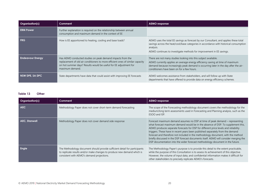| <b>Organisation(s)</b>  | <b>Comment</b>                                                                                                                                                                                                                       | <b>AEMO</b> response                                                                                                                                                                                                                                                                   |
|-------------------------|--------------------------------------------------------------------------------------------------------------------------------------------------------------------------------------------------------------------------------------|----------------------------------------------------------------------------------------------------------------------------------------------------------------------------------------------------------------------------------------------------------------------------------------|
| <b>ERM Power</b>        | Further explanation is required on the relationship between annual<br>consumption and maximum demand in the context of EE                                                                                                            |                                                                                                                                                                                                                                                                                        |
| <b>FRG</b>              | How is EE apportioned to heating, cooling and base loads?                                                                                                                                                                            | AEMO uses the total EE savings as forecast by our Consultant, and applies these total<br>savings across the heat/cool/base categories in accordance with historical consumption<br>analysis.<br>AEMO continues to investigate methods for improvement in EE savings.                   |
| <b>Endeavour Energy</b> | Has AEMO conducted studies on peak demand impacts from the<br>replacement of old air conditioners to more efficient ones of similar capacity<br>on hot summer days? Results would be useful for EE adjustment for<br>maximum demand. | There are not many studies looking into this subject available.<br>AEMO currently applies an average energy efficiency saving at time of maximum<br>demand because increasingly peak demand is occurring later in the day after the air-<br>conditioners have been on for a few hours. |
| NSW DPE, SA DPC         | State departments have data that could assist with improving EE forecasts                                                                                                                                                            | AEMO welcomes assistance from stakeholders, and will follow up with State<br>departments that have offered to provide data on energy efficiency schemes.                                                                                                                               |

#### **Table 13 Other**

<span id="page-19-0"></span>

| Organisation(s)      | Comment                                                                                                                                                                                             | <b>AEMO</b> response                                                                                                                                                                                                                                                                                                                                                                                                                                                                                                                                                                                     |
|----------------------|-----------------------------------------------------------------------------------------------------------------------------------------------------------------------------------------------------|----------------------------------------------------------------------------------------------------------------------------------------------------------------------------------------------------------------------------------------------------------------------------------------------------------------------------------------------------------------------------------------------------------------------------------------------------------------------------------------------------------------------------------------------------------------------------------------------------------|
| <b>AEC</b>           | Methodology Paper does not cover short-term demand forecasting                                                                                                                                      | The scope of the Forecasting methodology document covers the methodology for the<br>medium/long term assessments used in Forecasting and Planning analysis, such as the<br>ESOO and ISP.                                                                                                                                                                                                                                                                                                                                                                                                                 |
| <b>AEC, Stanwell</b> | Methodology Paper does not cover demand side response                                                                                                                                               | Forecast maximum demand assumes no DSP at time of peak demand – representing<br>what forecast maximum demand would be in the absence of DSP. To supplement this,<br>AEMO produces separate forecasts for DSP for different price levels and reliability<br>triggers. These have in recent years been published separately from the demand<br>forecast and therefore not included in the methodology document, with the method<br>briefly discussed in the DSP forecast documents itself. AEMO will consider merging the<br>DSP documentation into the wider forecast methodology document in the future. |
| <b>Engie</b>         | The Methodology document should provide sufficient detail for participants<br>to replicate results and/or make changes to produce new demand which is<br>consistent with AEMO's demand projections. | The Methodology Paper's purpose is to provide this detail to the extent practicable,<br>while the purpose of this Consultation is to assess its achievement of this objective.<br>However, the volume of input data, and confidential information makes it difficult for<br>other stakeholders to precisely replicate AEMO's forecasts.                                                                                                                                                                                                                                                                  |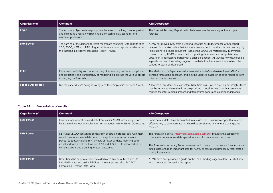| Organisation(s)                | Comment                                                                                                                                                                                                             | <b>AEMO</b> response                                                                                                                                                                                                                                                                                                                                                                                                                                                                                                                                    |
|--------------------------------|---------------------------------------------------------------------------------------------------------------------------------------------------------------------------------------------------------------------|---------------------------------------------------------------------------------------------------------------------------------------------------------------------------------------------------------------------------------------------------------------------------------------------------------------------------------------------------------------------------------------------------------------------------------------------------------------------------------------------------------------------------------------------------------|
| <b>Engie</b>                   | The Accuracy objective is inappropriate, because of the long forecast period<br>and increasing uncertainty spanning policy, technology, economy and<br>customer preference                                          | The Forecast Accuracy Report particularly examines the accuracy of the last year<br>forecast.                                                                                                                                                                                                                                                                                                                                                                                                                                                           |
| <b>ERM Power</b>               | The naming of the demand forecast reports are confusing, with reports titled<br>SOO, ESOO, NEFR and NEFI. Suggest all future annual reports be released as<br>the 'National Electricity Forecasting Report - NEFR'. | AEMO has moved away from preparing separate NEFR documents, with feedback<br>received from stakeholders that it is more meaningful to consider demand and supply<br>implications in a single document (such as the ESOO). As material new information<br>comes to hand, AEMO is committed to updating its forecast and will publish any<br>update on its forecasting portal with a brief explanation. AEMO has now developed a<br>separate demand forecasting page on its website to allow stakeholders to track the<br>various forecasts as developed. |
| <b>PIAC</b>                    | Enhance accessibility and understanding of forecasting results, assumptions<br>and limitations, and transparency of modelling e.g. discuss the various drivers<br>underlying the forecasts.                         | The Methodology Paper aims to increase stakeholder's understanding of AEMO's<br>demand forecasting approach, and is being updated based on specific feedback from<br>this consultation process.                                                                                                                                                                                                                                                                                                                                                         |
| <b>Sliger &amp; Associates</b> | Did the paper discuss daylight savings and the complexities between States?                                                                                                                                         | All forecasts are done on a consistent NEM time basis. When drawing out insights there<br>may be instances where the times are provided in local format. Supply assessments<br>capture the inter-regional impact of different time zones and coincident demands.                                                                                                                                                                                                                                                                                        |

#### **Table 14 Presentation of results**

<span id="page-20-0"></span>

| <b>Organisation(s)</b> | Comment                                                                                                                                                                                                                                                                                                                                                         | <b>AEMO</b> response                                                                                                                                                                                                                                                                                                                                                        |
|------------------------|-----------------------------------------------------------------------------------------------------------------------------------------------------------------------------------------------------------------------------------------------------------------------------------------------------------------------------------------------------------------|-----------------------------------------------------------------------------------------------------------------------------------------------------------------------------------------------------------------------------------------------------------------------------------------------------------------------------------------------------------------------------|
| <b>ERM Power</b>       | Historical operational demand data from earlier AEMO forecasting reports<br>have altered without an explanation in subsequent NEFR/NEFI/ESOO reports.                                                                                                                                                                                                           | Some data updates have been noted in releases, but it is acknowledged that a more<br>effective way to communicate this should be considered where future changes are<br>required.                                                                                                                                                                                           |
| <b>ERM Power</b>       | NEFR/NEFI/ESOO contain no comparison of actual historical data with most<br>recent forecasts immediately prior to the applicable summer or winter<br>period. Suggest including min 10 years of historical data, reporting both<br>actual and forecast at the time for 10, 50 and 90% POE, to allow parties to<br>compare actual and planning forecast outcomes. | The forecasting portal (http://forecasting.aemo.com.au/) provides the capacity to<br>compare historical actual data against forecasts for comparison purposes.<br>The Forecasting Accuracy Report assesses performance of most recent forecasts against<br>actual data, and is an important step for AEMO to assess and potentially recalibrate or<br>modify its forecasts. |
| <b>ERM Power</b>       | Data should be easy to retrieve via a dedicated link on AEMO's website<br>included in each successive NEFR as it is released, and also via AEMO's<br>Forecasting Demand Data Portal                                                                                                                                                                             | AEMO have now provided a quide on the ESOO landing page to allow users to know<br>what is released along with the report                                                                                                                                                                                                                                                    |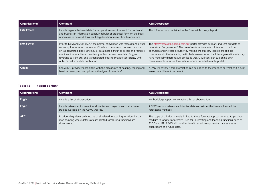| Organisation(s)  | Comment                                                                                                                                                                                                                                                                                                                                                                                                                               | <b>AEMO</b> response                                                                                                                                                                                                                                                                                                                                                                                                                                                                                      |
|------------------|---------------------------------------------------------------------------------------------------------------------------------------------------------------------------------------------------------------------------------------------------------------------------------------------------------------------------------------------------------------------------------------------------------------------------------------|-----------------------------------------------------------------------------------------------------------------------------------------------------------------------------------------------------------------------------------------------------------------------------------------------------------------------------------------------------------------------------------------------------------------------------------------------------------------------------------------------------------|
| <b>ERM Power</b> | Include regionally-based data for temperature-sensitive load, for residential<br>and business in information paper. In tabular or graphical form, on the basis<br>of increase in demand (kW) per 1 deg deviation from critical temperature                                                                                                                                                                                            | This information is contained in the Forecast Accuracy Report                                                                                                                                                                                                                                                                                                                                                                                                                                             |
| <b>ERM Power</b> | Prior to NEM and 2015 ESOO, the normal convention was forecast and actual<br>consumption reported on 'sent out' basis, and maximum demand reported<br>on 'as generated' basis. Since 2016, data more difficult to access and requires<br>manipulation to achieve consistency with other real time data. Suggest<br>reverting to 'sent out' and 'as generated' basis to provide consistency with<br>AEMO's real time data publication. | The http://forecasting.aemo.com.au/ portal provides auxiliary and sent out data to<br>reconstruct 'as generated'. The use of sent-out forecasts is intended to reduce<br>confusion and increase accuracy by making the auxiliary loads more explicit<br>components in the forecasts, particularly relevant when the future generation mix may<br>have materially different auxiliary loads. AEMO will consider publishing both<br>measurements in future forecasts to reduce potential misinterpretation. |
| Origin           | Can AEMO provide stakeholders with the breakdown of heating, cooling and<br>baseload energy consumption on the dynamic interface?                                                                                                                                                                                                                                                                                                     | AEMO will review if this information can be added to the interface or whether it is best<br>served in a different document.                                                                                                                                                                                                                                                                                                                                                                               |

#### **Table 15 Report content**

<span id="page-21-0"></span>

| Organisation(s) | Comment                                                                                                                                                              | <b>AEMO</b> response                                                                                                                                                                                                                                                                        |
|-----------------|----------------------------------------------------------------------------------------------------------------------------------------------------------------------|---------------------------------------------------------------------------------------------------------------------------------------------------------------------------------------------------------------------------------------------------------------------------------------------|
| Engie           | Include a list of abbreviations                                                                                                                                      | Methodology Paper now contains a list of abbreviations                                                                                                                                                                                                                                      |
| Engie           | Include references for recent local studies and projects, and make these<br>studies available on the AEMO website.                                                   | AEMO's reports reference all studies, data and articles that have influenced the<br>forecasting methods.                                                                                                                                                                                    |
| <b>AEC</b>      | Provide a high-level architecture of all related forecasting functions incl. a<br>map showing where details of each related forecasting functions are<br>documented. | The scope of this document is limited to those forecast approaches used to produce<br>medium to long term forecasts used for Forecasting and Planning functions, such as<br>ESOO and ISP. AEMO will consider how it can address potential gaps across its<br>publications at a future date. |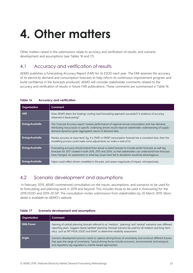## <span id="page-22-0"></span>**4. Other matters**

Other matters raised in the submissions relate to accuracy and verification of results, and scenario development and assumptions (see Tables 16 and 17).

### <span id="page-22-1"></span>4.1 Accuracy and verification of results

AEMO publishes a Forecasting Accuracy Report (FAR) for its ESOO each year. The FAR assesses the accuracy of its electricity demand and consumption forecasts to help inform its continuous improvement program and build confidence in the forecasts produced. AEMO will consider stakeholder comments related to the accuracy and verification of results in future FAR publications. These comments are summarised in [Table 16.](#page-22-3)

| Organisation            | Comment                                                                                                                                                                                                                                                                                                                  |
|-------------------------|--------------------------------------------------------------------------------------------------------------------------------------------------------------------------------------------------------------------------------------------------------------------------------------------------------------------------|
| <b>AER</b>              | Does AEMO deem the heating/ cooling load forecasting approach successful? Is evidence of accuracy<br>observed in backcasting?                                                                                                                                                                                            |
| <b>Energy Australia</b> | The 'Forecast Accuracy report' reviews performance of regional annual consumption and max demand.<br>Attributing inaccuracies to specific underlying drivers would improve stakeholder understanding of supply-<br>demand dynamics given aggregated nature of demand data.                                               |
| <b>Energy Australia</b> | Review accuracy at input level. Eq. if a TNSP or DNSP consumption forecast has a consistent bias, then the<br>modelling process could make some adjustments (or make a note of it).                                                                                                                                      |
| <b>Energy Australia</b> | Forecasting accuracy should extend from actual vs latest forecast to include earlier forecasts as well (eq<br>forecasts for 2017 created in both 2016, 2015 and 2014), so that stakeholders can understand how forecasts<br>have changed. An assessment on what key issues have led to deviations would be advantageous. |
| <b>Energy Australia</b> | Paper could reflect drivers modelled in the past, and assess magnitude of impact, retrospectively.                                                                                                                                                                                                                       |

#### <span id="page-22-3"></span>**Table 16 Accuracy and verification**

### <span id="page-22-2"></span>4.2 Scenario development and assumptions

In February 2019, AEMO commenced consultation on the inputs, assumptions, and scenarios to be used for its forecasting and planning work in 2019 and beyond. This includes those to be used in forecasting for the 2019 ESOO and 2019-20 ISP. The consultation invites submissions from stakeholders by 20 March 2019. More detail is available on AEMO's website.

| <b>Organisation</b> | Comment                                                                                                                                                                                                                                                                                                     |
|---------------------|-------------------------------------------------------------------------------------------------------------------------------------------------------------------------------------------------------------------------------------------------------------------------------------------------------------|
| <b>ERM Power</b>    | Naming of central planning forecast referred to as 'medium', 'planning' and 'neutral' scenarios over different<br>reporting years. Suggest clearly labelled 'planning' forecast scenario be used for all medium and long-term<br>docs, such as MT PASA, ESOO and EAAP, to determine reliability assessment. |
| <b>Engie</b>        | Scenario development process needs to capture driving forces of uncertainty and construct different futures<br>that span the range of uncertainty. Typical driving forces include economic, environmental, technological,<br>and regulatory (eg regulated vs market-based approaches).                      |

#### <span id="page-22-4"></span>**Table 17 Scenario development and assumptions**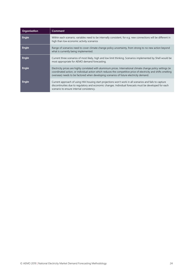| Organisation | Comment                                                                                                                                                                                                                                                                                                                       |
|--------------|-------------------------------------------------------------------------------------------------------------------------------------------------------------------------------------------------------------------------------------------------------------------------------------------------------------------------------|
| <b>Engie</b> | Within each scenario, variables need to be internally consistent, for e.g. new connections will be different in<br>high than low economic activity scenarios                                                                                                                                                                  |
| <b>Engie</b> | Range of scenarios need to cover climate change policy uncertainty, from strong to no new action beyond<br>what is currently being implemented.                                                                                                                                                                               |
| <b>Engie</b> | Current three scenarios of most likely, high and low limit thinking. Scenarios implemented by Shell would be<br>most appropriate for AEMO demand forecasting.                                                                                                                                                                 |
| <b>Engie</b> | Electricity prices are highly correlated with aluminium prices. International climate change policy settings (ie<br>coordinated action, or individual action which reduces the competitive price of electricity and shifts smelting<br>overseas) needs to be factored when developing scenarios of future electricity demand. |
| <b>Engie</b> | Current approach of using HIA housing start projections won't work in all scenarios and fails to capture<br>discontinuities due to regulatory and economic changes. Individual forecasts must be developed for each<br>scenario to ensure internal consistency.                                                               |